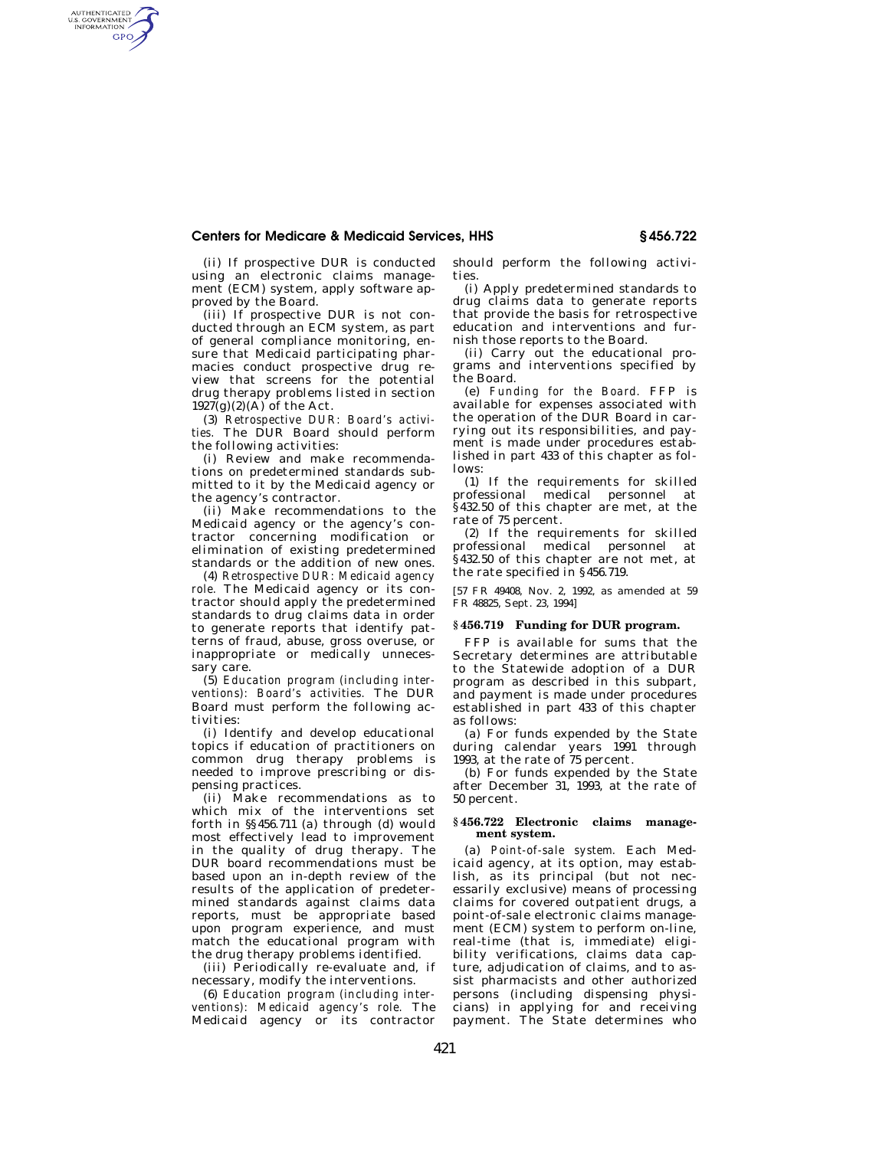## **Centers for Medicare & Medicaid Services, HHS § 456.722**

(ii) If prospective DUR is conducted using an electronic claims management (ECM) system, apply software approved by the Board.

AUTHENTICATED<br>U.S. GOVERNMENT<br>INFORMATION **GPO** 

> (iii) If prospective DUR is not conducted through an ECM system, as part of general compliance monitoring, ensure that Medicaid participating pharmacies conduct prospective drug review that screens for the potential drug therapy problems listed in section  $1927(g)(2)(\overrightarrow{A})$  of the Act.

> (3) *Retrospective DUR: Board's activities.* The DUR Board should perform the following activities:

> (i) Review and make recommendations on predetermined standards submitted to it by the Medicaid agency or the agency's contractor.

> (ii) Make recommendations to the Medicaid agency or the agency's contractor concerning modification or elimination of existing predetermined standards or the addition of new ones.

> (4) *Retrospective DUR: Medicaid agency*  role. The Medicaid agency or its contractor should apply the predetermined standards to drug claims data in order to generate reports that identify patterns of fraud, abuse, gross overuse, or inappropriate or medically unnecessary care.

> (5) *Education program (including interventions): Board's activities.* The DUR Board must perform the following activities:

> (i) Identify and develop educational topics if education of practitioners on common drug therapy problems is needed to improve prescribing or dispensing practices.

> (ii) Make recommendations as to which mix of the interventions set forth in §§456.711 (a) through (d) would most effectively lead to improvement in the quality of drug therapy. The DUR board recommendations must be based upon an in-depth review of the results of the application of predetermined standards against claims data reports, must be appropriate based upon program experience, and must match the educational program with the drug therapy problems identified.

(iii) Periodically re-evaluate and, if necessary, modify the interventions.

(6) *Education program (including interventions): Medicaid agency's role.* The Medicaid agency or its contractor should perform the following activities.

(i) Apply predetermined standards to drug claims data to generate reports that provide the basis for retrospective education and interventions and furnish those reports to the Board.

(ii) Carry out the educational programs and interventions specified by the Board.

(e) *Funding for the Board.* FFP is available for expenses associated with the operation of the DUR Board in carrying out its responsibilities, and payment is made under procedures established in part 433 of this chapter as follows:

(1) If the requirements for skilled professional medical personnel at §432.50 of this chapter are met, at the rate of 75 percent.

(2) If the requirements for skilled professional medical personnel at §432.50 of this chapter are not met, at the rate specified in §456.719.

[57 FR 49408, Nov. 2, 1992, as amended at 59 FR 48825, Sept. 23, 1994]

## **§ 456.719 Funding for DUR program.**

FFP is available for sums that the Secretary determines are attributable to the Statewide adoption of a DUR program as described in this subpart, and payment is made under procedures established in part 433 of this chapter as follows:

(a) For funds expended by the State during calendar years 1991 through 1993, at the rate of 75 percent.

(b) For funds expended by the State after December 31, 1993, at the rate of 50 percent.

## **§ 456.722 Electronic claims management system.**

(a) *Point-of-sale system.* Each Medicaid agency, at its option, may establish, as its principal (but not necessarily exclusive) means of processing claims for covered outpatient drugs, a point-of-sale electronic claims management (ECM) system to perform on-line, real-time (that is, immediate) eligibility verifications, claims data capture, adjudication of claims, and to assist pharmacists and other authorized persons (including dispensing physicians) in applying for and receiving payment. The State determines who